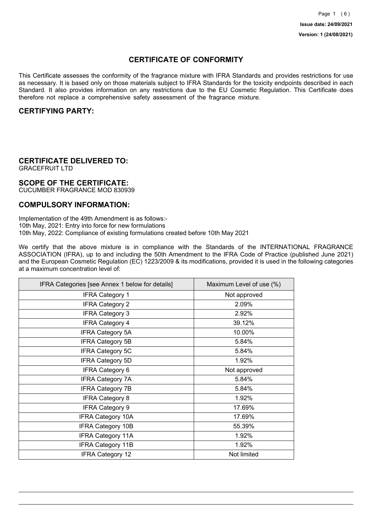# **CERTIFICATE OF CONFORMITY**

This Certificate assesses the conformity of the fragrance mixture with IFRA Standards and provides restrictions for use as necessary. It is based only on those materials subject to IFRA Standards for the toxicity endpoints described in each Standard. It also provides information on any restrictions due to the EU Cosmetic Regulation. This Certificate does therefore not replace a comprehensive safety assessment of the fragrance mixture.

## **CERTIFYING PARTY:**

# **CERTIFICATE DELIVERED TO:**

GRACEFRUIT LTD

### **SCOPE OF THE CERTIFICATE:**

CUCUMBER FRAGRANCE MOD 830939

## **COMPULSORY INFORMATION:**

Implementation of the 49th Amendment is as follows:- 10th May, 2021: Entry into force for new formulations 10th May, 2022: Compliance of existing formulations created before 10th May 2021

We certify that the above mixture is in compliance with the Standards of the INTERNATIONAL FRAGRANCE ASSOCIATION (IFRA), up to and including the 50th Amendment to the IFRA Code of Practice (published June 2021) and the European Cosmetic Regulation (EC) 1223/2009 & its modifications, provided it is used in the following categories at a maximum concentration level of:

| IFRA Categories [see Annex 1 below for details] | Maximum Level of use (%) |
|-------------------------------------------------|--------------------------|
| <b>IFRA Category 1</b>                          | Not approved             |
| <b>IFRA Category 2</b>                          | 2.09%                    |
| <b>IFRA Category 3</b>                          | 2.92%                    |
| <b>IFRA Category 4</b>                          | 39.12%                   |
| <b>IFRA Category 5A</b>                         | 10.00%                   |
| <b>IFRA Category 5B</b>                         | 5.84%                    |
| <b>IFRA Category 5C</b>                         | 5.84%                    |
| <b>IFRA Category 5D</b>                         | 1.92%                    |
| IFRA Category 6                                 | Not approved             |
| <b>IFRA Category 7A</b>                         | 5.84%                    |
| <b>IFRA Category 7B</b>                         | 5.84%                    |
| <b>IFRA Category 8</b>                          | 1.92%                    |
| <b>IFRA Category 9</b>                          | 17.69%                   |
| <b>IFRA Category 10A</b>                        | 17.69%                   |
| <b>IFRA Category 10B</b>                        | 55.39%                   |
| <b>IFRA Category 11A</b>                        | 1.92%                    |
| <b>IFRA Category 11B</b>                        | 1.92%                    |
| <b>IFRA Category 12</b>                         | Not limited              |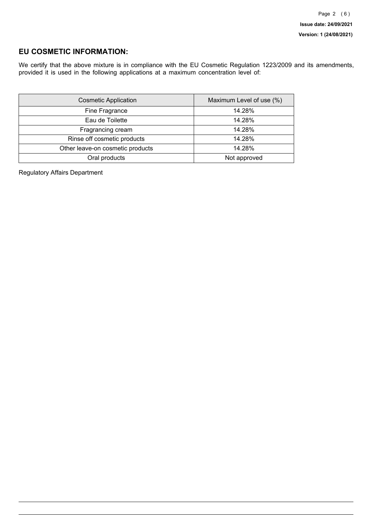## **EU COSMETIC INFORMATION:**

We certify that the above mixture is in compliance with the EU Cosmetic Regulation 1223/2009 and its amendments, provided it is used in the following applications at a maximum concentration level of:

| <b>Cosmetic Application</b>      | Maximum Level of use (%) |
|----------------------------------|--------------------------|
| Fine Fragrance                   | 14.28%                   |
| Eau de Toilette                  | 14.28%                   |
| Fragrancing cream                | 14.28%                   |
| Rinse off cosmetic products      | 14.28%                   |
| Other leave-on cosmetic products | 14.28%                   |
| Oral products                    | Not approved             |

Regulatory Affairs Department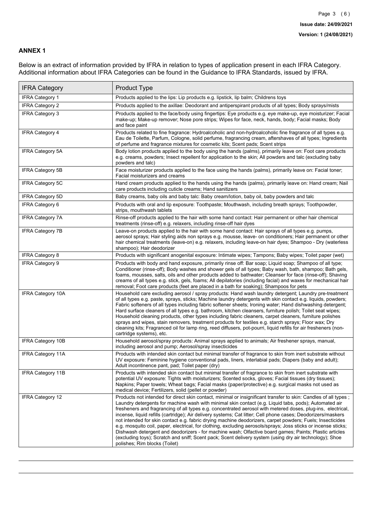### **ANNEX 1**

Below is an extract of information provided by IFRA in relation to types of application present in each IFRA Category. Additional information about IFRA Categories can be found in the Guidance to IFRA Standards, issued by IFRA.

| <b>IFRA Category</b>     | Product Type                                                                                                                                                                                                                                                                                                                                                                                                                                                                                                                                                                                                                                                                                                                                                                                                                                                                                                                                 |
|--------------------------|----------------------------------------------------------------------------------------------------------------------------------------------------------------------------------------------------------------------------------------------------------------------------------------------------------------------------------------------------------------------------------------------------------------------------------------------------------------------------------------------------------------------------------------------------------------------------------------------------------------------------------------------------------------------------------------------------------------------------------------------------------------------------------------------------------------------------------------------------------------------------------------------------------------------------------------------|
| <b>IFRA Category 1</b>   | Products applied to the lips: Lip products e.g. lipstick, lip balm; Childrens toys                                                                                                                                                                                                                                                                                                                                                                                                                                                                                                                                                                                                                                                                                                                                                                                                                                                           |
| <b>IFRA Category 2</b>   | Products applied to the axillae: Deodorant and antiperspirant products of all types; Body sprays/mists                                                                                                                                                                                                                                                                                                                                                                                                                                                                                                                                                                                                                                                                                                                                                                                                                                       |
| IFRA Category 3          | Products applied to the face/body using fingertips: Eye products e.g. eye make-up, eye moisturizer; Facial<br>make-up; Make-up remover; Nose pore strips; Wipes for face, neck, hands, body; Facial masks; Body<br>and face paint                                                                                                                                                                                                                                                                                                                                                                                                                                                                                                                                                                                                                                                                                                            |
| <b>IFRA Category 4</b>   | Products related to fine fragrance: Hydroalcoholic and non-hydroalcoholic fine fragrance of all types e.g.<br>Eau de Toilette, Parfum, Cologne, solid perfume, fragrancing cream, aftershaves of all types; Ingredients<br>of perfume and fragrance mixtures for cosmetic kits; Scent pads; Scent strips                                                                                                                                                                                                                                                                                                                                                                                                                                                                                                                                                                                                                                     |
| <b>IFRA Category 5A</b>  | Body lotion products applied to the body using the hands (palms), primarily leave on: Foot care products<br>e.g. creams, powders; Insect repellent for application to the skin; All powders and talc (excluding baby<br>powders and talc)                                                                                                                                                                                                                                                                                                                                                                                                                                                                                                                                                                                                                                                                                                    |
| <b>IFRA Category 5B</b>  | Face moisturizer products applied to the face using the hands (palms), primarily leave on: Facial toner;<br>Facial moisturizers and creams                                                                                                                                                                                                                                                                                                                                                                                                                                                                                                                                                                                                                                                                                                                                                                                                   |
| <b>IFRA Category 5C</b>  | Hand cream products applied to the hands using the hands (palms), primarily leave on: Hand cream; Nail<br>care products including cuticle creams; Hand sanitizers                                                                                                                                                                                                                                                                                                                                                                                                                                                                                                                                                                                                                                                                                                                                                                            |
| <b>IFRA Category 5D</b>  | Baby creams, baby oils and baby talc: Baby cream/lotion, baby oil, baby powders and talc                                                                                                                                                                                                                                                                                                                                                                                                                                                                                                                                                                                                                                                                                                                                                                                                                                                     |
| IFRA Category 6          | Products with oral and lip exposure: Toothpaste; Mouthwash, including breath sprays; Toothpowder,<br>strips, mouthwash tablets                                                                                                                                                                                                                                                                                                                                                                                                                                                                                                                                                                                                                                                                                                                                                                                                               |
| <b>IFRA Category 7A</b>  | Rinse-off products applied to the hair with some hand contact: Hair permanent or other hair chemical<br>treatments (rinse-off) e.g. relaxers, including rinse-off hair dyes                                                                                                                                                                                                                                                                                                                                                                                                                                                                                                                                                                                                                                                                                                                                                                  |
| <b>IFRA Category 7B</b>  | Leave-on products applied to the hair with some hand contact: Hair sprays of all types e.g. pumps,<br>aerosol sprays; Hair styling aids non sprays e.g. mousse, leave- on conditioners; Hair permanent or other<br>hair chemical treatments (leave-on) e.g. relaxers, including leave-on hair dyes; Shampoo - Dry (waterless<br>shampoo); Hair deodorizer                                                                                                                                                                                                                                                                                                                                                                                                                                                                                                                                                                                    |
| <b>IFRA Category 8</b>   | Products with significant anogenital exposure: Intimate wipes; Tampons; Baby wipes; Toilet paper (wet)                                                                                                                                                                                                                                                                                                                                                                                                                                                                                                                                                                                                                                                                                                                                                                                                                                       |
| <b>IFRA Category 9</b>   | Products with body and hand exposure, primarily rinse off: Bar soap; Liquid soap; Shampoo of all type;<br>Conditioner (rinse-off); Body washes and shower gels of all types; Baby wash, bath, shampoo; Bath gels,<br>foams, mousses, salts, oils and other products added to bathwater; Cleanser for face (rinse-off); Shaving<br>creams of all types e.g. stick, gels, foams; All depilatories (including facial) and waxes for mechanical hair<br>removal; Foot care products (feet are placed in a bath for soaking); Shampoos for pets                                                                                                                                                                                                                                                                                                                                                                                                   |
| <b>IFRA Category 10A</b> | Household care excluding aerosol / spray products: Hand wash laundry detergent; Laundry pre-treatment<br>of all types e.g. paste, sprays, sticks; Machine laundry detergents with skin contact e.g. liquids, powders;<br>Fabric softeners of all types including fabric softener sheets; Ironing water; Hand dishwashing detergent;<br>Hard surface cleaners of all types e.g. bathroom, kitchen cleansers, furniture polish; Toilet seat wipes;<br>Household cleaning products, other types including fabric cleaners, carpet cleaners, furniture polishes<br>sprays and wipes, stain removers, treatment products for textiles e.g. starch sprays; Floor wax; Dry<br>cleaning kits; Fragranced oil for lamp ring, reed diffusers, pot-pourri, liquid refills for air fresheners (non-<br>cartridge systems), etc.                                                                                                                          |
| <b>IFRA Category 10B</b> | Household aerosol/spray products: Animal sprays applied to animals; Air freshener sprays, manual,<br>including aerosol and pump; Aerosol/spray insecticides                                                                                                                                                                                                                                                                                                                                                                                                                                                                                                                                                                                                                                                                                                                                                                                  |
| <b>IFRA Category 11A</b> | Products with intended skin contact but minimal transfer of fragrance to skin from inert substrate without<br>UV exposure: Feminine hygiene conventional pads, liners, interlabial pads; Diapers (baby and adult);<br>Adult incontinence pant, pad; Toilet paper (dry)                                                                                                                                                                                                                                                                                                                                                                                                                                                                                                                                                                                                                                                                       |
| <b>IFRA Category 11B</b> | Products with intended skin contact but minimal transfer of fragrance to skin from inert substrate with<br>potential UV exposure: Tights with moisturizers; Scented socks, gloves; Facial tissues (dry tissues);<br>Napkins: Paper towels: Wheat bags: Facial masks (paper/protective) e.g. surgical masks not used as<br>medical device; Fertilizers, solid (pellet or powder)                                                                                                                                                                                                                                                                                                                                                                                                                                                                                                                                                              |
| <b>IFRA Category 12</b>  | Products not intended for direct skin contact, minimal or insignificant transfer to skin: Candles of all types;<br>Laundry detergents for machine wash with minimal skin contact (e.g. Liguid tabs, pods); Automated air<br>fresheners and fragrancing of all types e.g. concentrated aerosol with metered doses, plug-ins, electrical,<br>incense, liquid refills (cartridge); Air delivery systems; Cat litter; Cell phone cases; Deodorizers/maskers<br>not intended for skin contact e.g. fabric drying machine deodorizers, carpet powders; Fuels; Insecticides<br>e.g. mosquito coil, paper, electrical, for clothing, excluding aerosols/sprays; Joss sticks or incense sticks;<br>Dishwash detergent and deodorizers - for machine wash; Olfactive board games; Paints; Plastic articles<br>(excluding toys); Scratch and sniff; Scent pack; Scent delivery system (using dry air technology); Shoe<br>polishes; Rim blocks (Toilet) |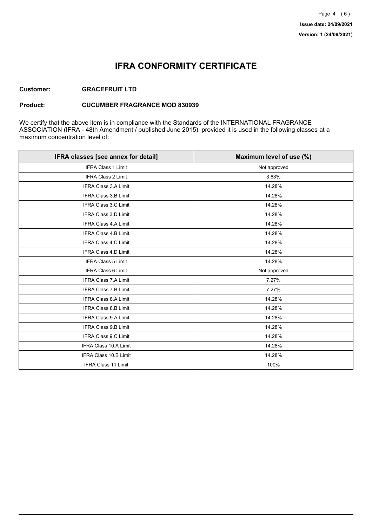# **IFRA CONFORMITY CERTIFICATE**

### **Customer: GRACEFRUIT LTD**

#### **Product: CUCUMBER FRAGRANCE MOD 830939**

We certify that the above item is in compliance with the Standards of the INTERNATIONAL FRAGRANCE ASSOCIATION (IFRA - 48th Amendment / published June 2015), provided it is used in the following classes at a maximum concentration level of:

| IFRA classes [see annex for detail] | Maximum level of use (%) |
|-------------------------------------|--------------------------|
| <b>IFRA Class 1 Limit</b>           | Not approved             |
| <b>IFRA Class 2 Limit</b>           | 3.63%                    |
| <b>IFRA Class 3.A Limit</b>         | 14.28%                   |
| IFRA Class 3.B Limit                | 14.28%                   |
| <b>IFRA Class 3.C Limit</b>         | 14.28%                   |
| IFRA Class 3.D Limit                | 14.28%                   |
| <b>IFRA Class 4.A Limit</b>         | 14.28%                   |
| <b>IFRA Class 4.B Limit</b>         | 14.28%                   |
| <b>IFRA Class 4.C Limit</b>         | 14.28%                   |
| <b>IFRA Class 4.D Limit</b>         | 14.28%                   |
| <b>IFRA Class 5 Limit</b>           | 14.28%                   |
| IFRA Class 6 Limit                  | Not approved             |
| <b>IFRA Class 7.A Limit</b>         | 7.27%                    |
| <b>IFRA Class 7.B Limit</b>         | 7.27%                    |
| <b>IFRA Class 8.A Limit</b>         | 14.28%                   |
| IFRA Class 8.B Limit                | 14.28%                   |
| IFRA Class 9.A Limit                | 14.28%                   |
| <b>IFRA Class 9.B Limit</b>         | 14.28%                   |
| IFRA Class 9.C Limit                | 14.28%                   |
| IFRA Class 10.A Limit               | 14.28%                   |
| IFRA Class 10.B Limit               | 14.28%                   |
| <b>IFRA Class 11 Limit</b>          | 100%                     |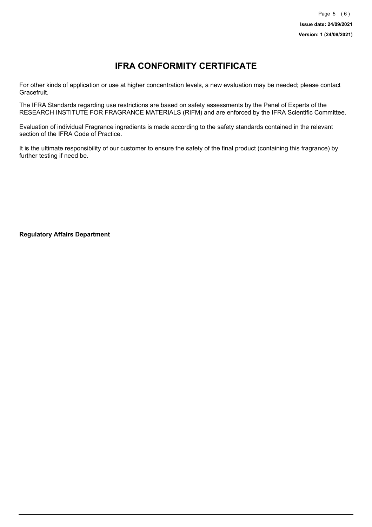# **IFRA CONFORMITY CERTIFICATE**

For other kinds of application or use at higher concentration levels, a new evaluation may be needed; please contact Gracefruit.

The IFRA Standards regarding use restrictions are based on safety assessments by the Panel of Experts of the RESEARCH INSTITUTE FOR FRAGRANCE MATERIALS (RIFM) and are enforced by the IFRA Scientific Committee.

Evaluation of individual Fragrance ingredients is made according to the safety standards contained in the relevant section of the IFRA Code of Practice.

It is the ultimate responsibility of our customer to ensure the safety of the final product (containing this fragrance) by further testing if need be.

**Regulatory Affairs Department**